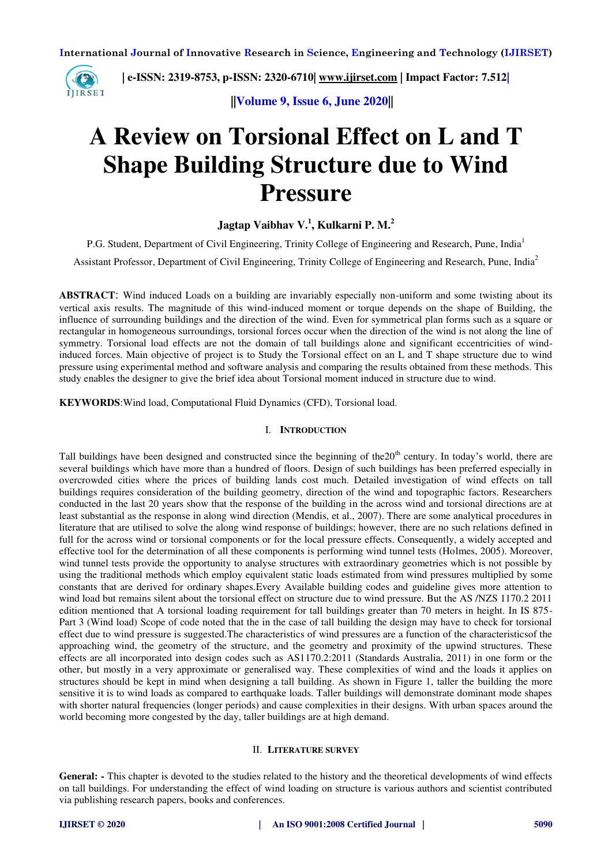

 **| e-ISSN: 2319-8753, p-ISSN: 2320-6710| [www.ijirset.com](http://www.ijirset.com/) | Impact Factor: 7.512|**

 **||Volume 9, Issue 6, June 2020||** 

# **A Review on Torsional Effect on L and T Shape Building Structure due to Wind Pressure**

# **Jagtap Vaibhav V.<sup>1</sup> , Kulkarni P. M.<sup>2</sup>**

P.G. Student, Department of Civil Engineering, Trinity College of Engineering and Research, Pune, India<sup>1</sup> Assistant Professor, Department of Civil Engineering, Trinity College of Engineering and Research, Pune, India<sup>2</sup>

**ABSTRACT**: Wind induced Loads on a building are invariably especially non-uniform and some twisting about its vertical axis results. The magnitude of this wind-induced moment or torque depends on the shape of Building, the influence of surrounding buildings and the direction of the wind. Even for symmetrical plan forms such as a square or rectangular in homogeneous surroundings, torsional forces occur when the direction of the wind is not along the line of symmetry. Torsional load effects are not the domain of tall buildings alone and significant eccentricities of windinduced forces. Main objective of project is to Study the Torsional effect on an L and T shape structure due to wind pressure using experimental method and software analysis and comparing the results obtained from these methods. This study enables the designer to give the brief idea about Torsional moment induced in structure due to wind.

**KEYWORDS**:Wind load, Computational Fluid Dynamics (CFD), Torsional load.

### I. **INTRODUCTION**

Tall buildings have been designed and constructed since the beginning of the  $20<sup>th</sup>$  century. In today's world, there are several buildings which have more than a hundred of floors. Design of such buildings has been preferred especially in overcrowded cities where the prices of building lands cost much. Detailed investigation of wind effects on tall buildings requires consideration of the building geometry, direction of the wind and topographic factors. Researchers conducted in the last 20 years show that the response of the building in the across wind and torsional directions are at least substantial as the response in along wind direction (Mendis, et al., 2007). There are some analytical procedures in literature that are utilised to solve the along wind response of buildings; however, there are no such relations defined in full for the across wind or torsional components or for the local pressure effects. Consequently, a widely accepted and effective tool for the determination of all these components is performing wind tunnel tests (Holmes, 2005). Moreover, wind tunnel tests provide the opportunity to analyse structures with extraordinary geometries which is not possible by using the traditional methods which employ equivalent static loads estimated from wind pressures multiplied by some constants that are derived for ordinary shapes.Every Available building codes and guideline gives more attention to wind load but remains silent about the torsional effect on structure due to wind pressure. But the AS /NZS 1170.2 2011 edition mentioned that A torsional loading requirement for tall buildings greater than 70 meters in height. In IS 875- Part 3 (Wind load) Scope of code noted that the in the case of tall building the design may have to check for torsional effect due to wind pressure is suggested.The characteristics of wind pressures are a function of the characteristicsof the approaching wind, the geometry of the structure, and the geometry and proximity of the upwind structures. These effects are all incorporated into design codes such as AS1170.2:2011 (Standards Australia, 2011) in one form or the other, but mostly in a very approximate or generalised way. These complexities of wind and the loads it applies on structures should be kept in mind when designing a tall building. As shown in Figure 1, taller the building the more sensitive it is to wind loads as compared to earthquake loads. Taller buildings will demonstrate dominant mode shapes with shorter natural frequencies (longer periods) and cause complexities in their designs. With urban spaces around the world becoming more congested by the day, taller buildings are at high demand.

#### II. **LITERATURE SURVEY**

**General: -** This chapter is devoted to the studies related to the history and the theoretical developments of wind effects on tall buildings. For understanding the effect of wind loading on structure is various authors and scientist contributed via publishing research papers, books and conferences.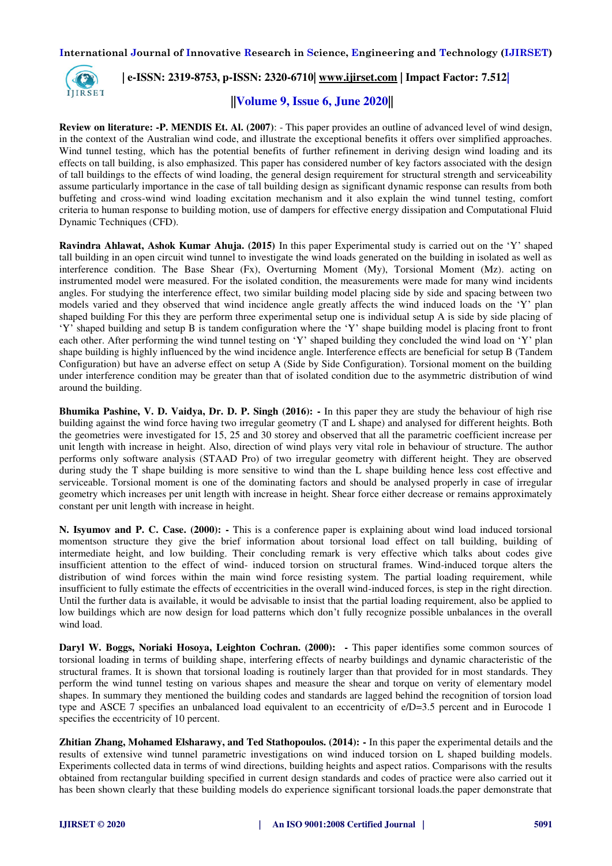

## **| e-ISSN: 2319-8753, p-ISSN: 2320-6710| [www.ijirset.com](http://www.ijirset.com/) | Impact Factor: 7.512|**

## **||Volume 9, Issue 6, June 2020||**

**Review on literature: -P. MENDIS Et. Al. (2007)**: - This paper provides an outline of advanced level of wind design, in the context of the Australian wind code, and illustrate the exceptional benefits it offers over simplified approaches. Wind tunnel testing, which has the potential benefits of further refinement in deriving design wind loading and its effects on tall building, is also emphasized. This paper has considered number of key factors associated with the design of tall buildings to the effects of wind loading, the general design requirement for structural strength and serviceability assume particularly importance in the case of tall building design as significant dynamic response can results from both buffeting and cross-wind wind loading excitation mechanism and it also explain the wind tunnel testing, comfort criteria to human response to building motion, use of dampers for effective energy dissipation and Computational Fluid Dynamic Techniques (CFD).

**Ravindra Ahlawat, Ashok Kumar Ahuja. (2015)** In this paper Experimental study is carried out on the 'Y' shaped tall building in an open circuit wind tunnel to investigate the wind loads generated on the building in isolated as well as interference condition. The Base Shear (Fx), Overturning Moment (My), Torsional Moment (Mz). acting on instrumented model were measured. For the isolated condition, the measurements were made for many wind incidents angles. For studying the interference effect, two similar building model placing side by side and spacing between two models varied and they observed that wind incidence angle greatly affects the wind induced loads on the 'Y' plan shaped building For this they are perform three experimental setup one is individual setup A is side by side placing of 'Y' shaped building and setup B is tandem configuration where the 'Y' shape building model is placing front to front each other. After performing the wind tunnel testing on 'Y' shaped building they concluded the wind load on 'Y' plan shape building is highly influenced by the wind incidence angle. Interference effects are beneficial for setup B (Tandem Configuration) but have an adverse effect on setup A (Side by Side Configuration). Torsional moment on the building under interference condition may be greater than that of isolated condition due to the asymmetric distribution of wind around the building.

**Bhumika Pashine, V. D. Vaidya, Dr. D. P. Singh (2016): -** In this paper they are study the behaviour of high rise building against the wind force having two irregular geometry (T and L shape) and analysed for different heights. Both the geometries were investigated for 15, 25 and 30 storey and observed that all the parametric coefficient increase per unit length with increase in height. Also, direction of wind plays very vital role in behaviour of structure. The author performs only software analysis (STAAD Pro) of two irregular geometry with different height. They are observed during study the T shape building is more sensitive to wind than the L shape building hence less cost effective and serviceable. Torsional moment is one of the dominating factors and should be analysed properly in case of irregular geometry which increases per unit length with increase in height. Shear force either decrease or remains approximately constant per unit length with increase in height.

**N. Isyumov and P. C. Case. (2000): -** This is a conference paper is explaining about wind load induced torsional momentson structure they give the brief information about torsional load effect on tall building, building of intermediate height, and low building. Their concluding remark is very effective which talks about codes give insufficient attention to the effect of wind- induced torsion on structural frames. Wind-induced torque alters the distribution of wind forces within the main wind force resisting system. The partial loading requirement, while insufficient to fully estimate the effects of eccentricities in the overall wind-induced forces, is step in the right direction. Until the further data is available, it would be advisable to insist that the partial loading requirement, also be applied to low buildings which are now design for load patterns which don't fully recognize possible unbalances in the overall wind load.

**Daryl W. Boggs, Noriaki Hosoya, Leighton Cochran. (2000): -** This paper identifies some common sources of torsional loading in terms of building shape, interfering effects of nearby buildings and dynamic characteristic of the structural frames. It is shown that torsional loading is routinely larger than that provided for in most standards. They perform the wind tunnel testing on various shapes and measure the shear and torque on verity of elementary model shapes. In summary they mentioned the building codes and standards are lagged behind the recognition of torsion load type and ASCE 7 specifies an unbalanced load equivalent to an eccentricity of e/D=3.5 percent and in Eurocode 1 specifies the eccentricity of 10 percent.

**Zhitian Zhang, Mohamed Elsharawy, and Ted Stathopoulos. (2014): -** In this paper the experimental details and the results of extensive wind tunnel parametric investigations on wind induced torsion on L shaped building models. Experiments collected data in terms of wind directions, building heights and aspect ratios. Comparisons with the results obtained from rectangular building specified in current design standards and codes of practice were also carried out it has been shown clearly that these building models do experience significant torsional loads.the paper demonstrate that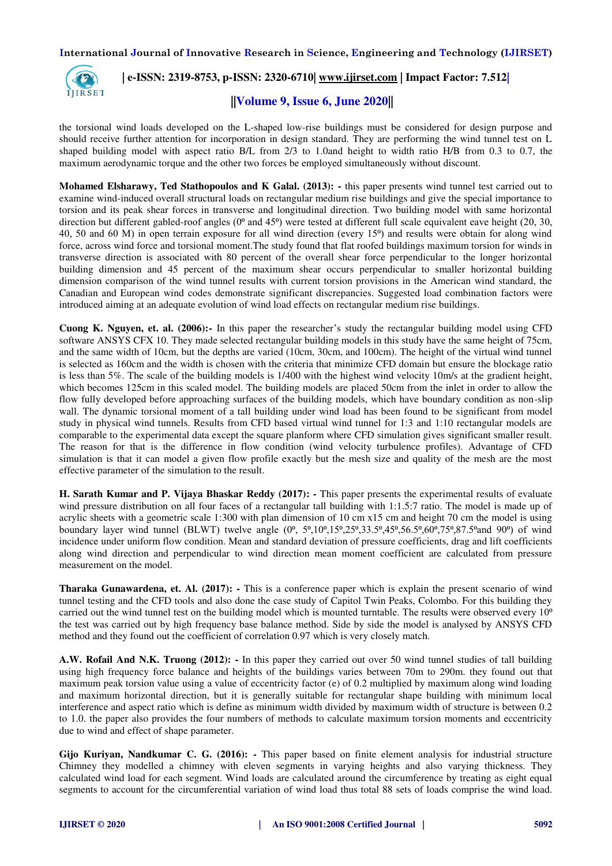

# **| e-ISSN: 2319-8753, p-ISSN: 2320-6710| [www.ijirset.com](http://www.ijirset.com/) | Impact Factor: 7.512|**

# **||Volume 9, Issue 6, June 2020||**

the torsional wind loads developed on the L-shaped low-rise buildings must be considered for design purpose and should receive further attention for incorporation in design standard. They are performing the wind tunnel test on L shaped building model with aspect ratio B/L from 2/3 to 1.0and height to width ratio H/B from 0.3 to 0.7, the maximum aerodynamic torque and the other two forces be employed simultaneously without discount.

**Mohamed Elsharawy, Ted Stathopoulos and K Galal. (2013): -** this paper presents wind tunnel test carried out to examine wind-induced overall structural loads on rectangular medium rise buildings and give the special importance to torsion and its peak shear forces in transverse and longitudinal direction. Two building model with same horizontal direction but different gabled-roof angles  $(0^{\circ}$  and 45 $^{\circ}$ ) were tested at different full scale equivalent eave height (20, 30, 40, 50 and 60 M) in open terrain exposure for all wind direction (every  $15\degree$ ) and results were obtain for along wind force, across wind force and torsional moment.The study found that flat roofed buildings maximum torsion for winds in transverse direction is associated with 80 percent of the overall shear force perpendicular to the longer horizontal building dimension and 45 percent of the maximum shear occurs perpendicular to smaller horizontal building dimension comparison of the wind tunnel results with current torsion provisions in the American wind standard, the Canadian and European wind codes demonstrate significant discrepancies. Suggested load combination factors were introduced aiming at an adequate evolution of wind load effects on rectangular medium rise buildings.

**Cuong K. Nguyen, et. al. (2006):-** In this paper the researcher's study the rectangular building model using CFD software ANSYS CFX 10. They made selected rectangular building models in this study have the same height of 75cm, and the same width of 10cm, but the depths are varied (10cm, 30cm, and 100cm). The height of the virtual wind tunnel is selected as 160cm and the width is chosen with the criteria that minimize CFD domain but ensure the blockage ratio is less than 5%. The scale of the building models is 1/400 with the highest wind velocity 10m/s at the gradient height, which becomes 125cm in this scaled model. The building models are placed 50cm from the inlet in order to allow the flow fully developed before approaching surfaces of the building models, which have boundary condition as non-slip wall. The dynamic torsional moment of a tall building under wind load has been found to be significant from model study in physical wind tunnels. Results from CFD based virtual wind tunnel for 1:3 and 1:10 rectangular models are comparable to the experimental data except the square planform where CFD simulation gives significant smaller result. The reason for that is the difference in flow condition (wind velocity turbulence profiles). Advantage of CFD simulation is that it can model a given flow profile exactly but the mesh size and quality of the mesh are the most effective parameter of the simulation to the result.

**H. Sarath Kumar and P. Vijaya Bhaskar Reddy (2017):** - This paper presents the experimental results of evaluate wind pressure distribution on all four faces of a rectangular tall building with 1:1.5:7 ratio. The model is made up of acrylic sheets with a geometric scale 1:300 with plan dimension of 10 cm x15 cm and height 70 cm the model is using boundary layer wind tunnel (BLWT) twelve angle  $(0^0, 5^0, 10^0, 15^0, 25^0, 33.5^0, 45^0, 56.5^0, 60^0, 75^0, 87.5^0, 87.5^0, 87.5^0, 60^0, 75^0, 87.5^0, 60^0, 75^0, 87.5^0, 60^0, 75^0, 87.5^0, 60^0, 75^0, 87.5^0, 60^0,$ incidence under uniform flow condition. Mean and standard deviation of pressure coefficients, drag and lift coefficients along wind direction and perpendicular to wind direction mean moment coefficient are calculated from pressure measurement on the model.

**Tharaka Gunawardena, et. Al. (2017): -** This is a conference paper which is explain the present scenario of wind tunnel testing and the CFD tools and also done the case study of Capitol Twin Peaks, Colombo. For this building they carried out the wind tunnel test on the building model which is mounted turntable. The results were observed every  $10<sup>o</sup>$ the test was carried out by high frequency base balance method. Side by side the model is analysed by ANSYS CFD method and they found out the coefficient of correlation 0.97 which is very closely match.

**A.W. Rofail And N.K. Truong (2012): -** In this paper they carried out over 50 wind tunnel studies of tall building using high frequency force balance and heights of the buildings varies between 70m to 290m. they found out that maximum peak torsion value using a value of eccentricity factor (e) of 0.2 multiplied by maximum along wind loading and maximum horizontal direction, but it is generally suitable for rectangular shape building with minimum local interference and aspect ratio which is define as minimum width divided by maximum width of structure is between 0.2 to 1.0. the paper also provides the four numbers of methods to calculate maximum torsion moments and eccentricity due to wind and effect of shape parameter.

**Gijo Kuriyan, Nandkumar C. G. (2016): -** This paper based on finite element analysis for industrial structure Chimney they modelled a chimney with eleven segments in varying heights and also varying thickness. They calculated wind load for each segment. Wind loads are calculated around the circumference by treating as eight equal segments to account for the circumferential variation of wind load thus total 88 sets of loads comprise the wind load.